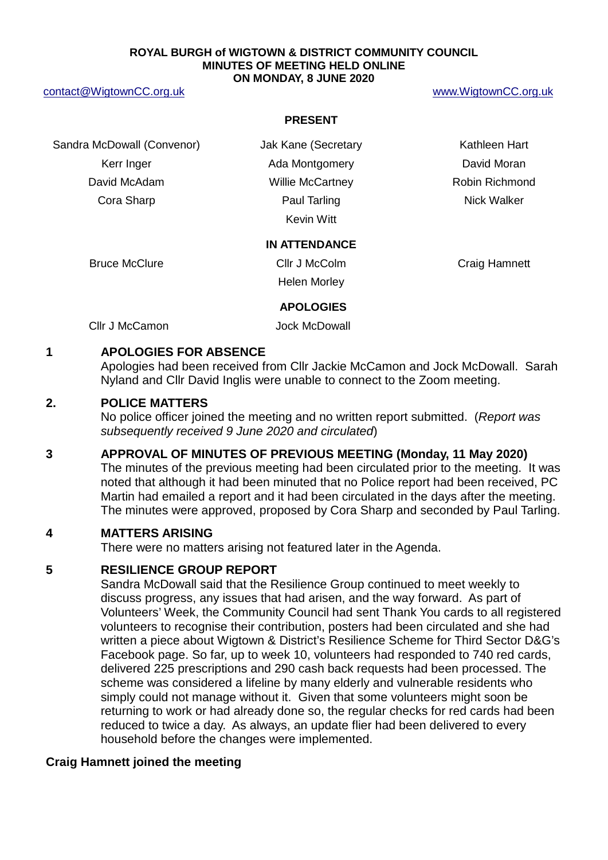#### **ROYAL BURGH of WIGTOWN & DISTRICT COMMUNITY COUNCIL MINUTES OF MEETING HELD ONLINE ON MONDAY, 8 JUNE 2020**

#### [contact@WigtownCC.org.uk](mailto:contact@WigtownCC.org.uk) [www.WigtownCC.org.uk](http://www.wigtowncc.org.uk/)

#### **PRESENT**

Sandra McDowall (Convenor) **Jak Kane (Secretary Kathleen Hart** Kerr Inger **Ada Montgomery Containers** David Moran David McAdam **Millie McCartney Robin Richmond Cora Sharp**  Paul Tarling **Paul Tarling Cora Sharp Allows** Nick Walker

Kevin Witt

#### **IN ATTENDANCE**

Bruce McClure **Clip Clip Clip Clip Clip Craig Hamnett** Clip Craig Hamnett Helen Morley

### **APOLOGIES**

Cllr J McCamon Jock McDowall

### **1 APOLOGIES FOR ABSENCE**

Apologies had been received from Cllr Jackie McCamon and Jock McDowall. Sarah Nyland and Cllr David Inglis were unable to connect to the Zoom meeting.

### **2. POLICE MATTERS**

No police officer joined the meeting and no written report submitted. (*Report was subsequently received 9 June 2020 and circulated*)

#### **3 APPROVAL OF MINUTES OF PREVIOUS MEETING (Monday, 11 May 2020)**

The minutes of the previous meeting had been circulated prior to the meeting. It was noted that although it had been minuted that no Police report had been received, PC Martin had emailed a report and it had been circulated in the days after the meeting. The minutes were approved, proposed by Cora Sharp and seconded by Paul Tarling.

## **4 MATTERS ARISING**

There were no matters arising not featured later in the Agenda.

### **5 RESILIENCE GROUP REPORT**

Sandra McDowall said that the Resilience Group continued to meet weekly to discuss progress, any issues that had arisen, and the way forward. As part of Volunteers' Week, the Community Council had sent Thank You cards to all registered volunteers to recognise their contribution, posters had been circulated and she had written a piece about Wigtown & District's Resilience Scheme for Third Sector D&G's Facebook page. So far, up to week 10, volunteers had responded to 740 red cards, delivered 225 prescriptions and 290 cash back requests had been processed. The scheme was considered a lifeline by many elderly and vulnerable residents who simply could not manage without it. Given that some volunteers might soon be returning to work or had already done so, the regular checks for red cards had been reduced to twice a day. As always, an update flier had been delivered to every household before the changes were implemented.

## **Craig Hamnett joined the meeting**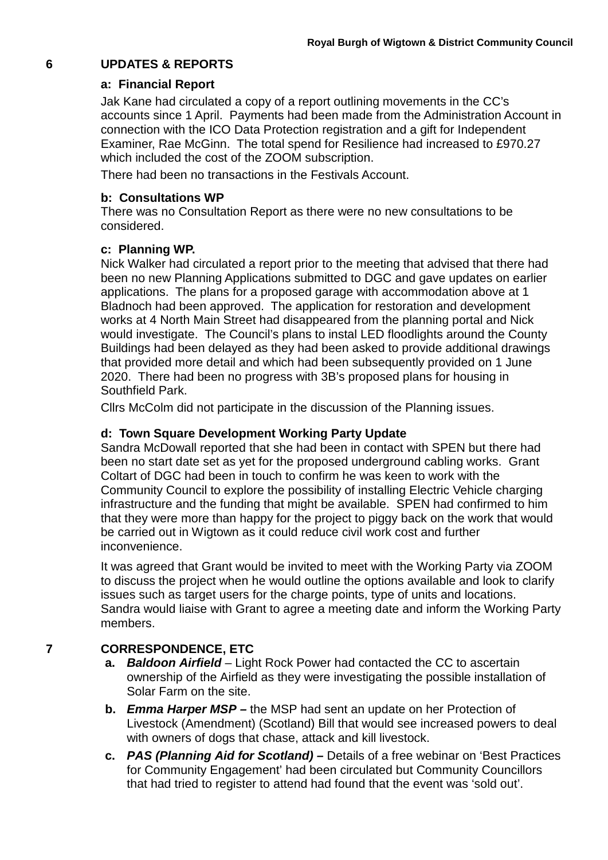# **6 UPDATES & REPORTS**

## **a: Financial Report**

Jak Kane had circulated a copy of a report outlining movements in the CC's accounts since 1 April. Payments had been made from the Administration Account in connection with the ICO Data Protection registration and a gift for Independent Examiner, Rae McGinn. The total spend for Resilience had increased to £970.27 which included the cost of the ZOOM subscription.

There had been no transactions in the Festivals Account.

## **b: Consultations WP**

There was no Consultation Report as there were no new consultations to be considered.

### **c: Planning WP.**

Nick Walker had circulated a report prior to the meeting that advised that there had been no new Planning Applications submitted to DGC and gave updates on earlier applications. The plans for a proposed garage with accommodation above at 1 Bladnoch had been approved. The application for restoration and development works at 4 North Main Street had disappeared from the planning portal and Nick would investigate. The Council's plans to instal LED floodlights around the County Buildings had been delayed as they had been asked to provide additional drawings that provided more detail and which had been subsequently provided on 1 June 2020. There had been no progress with 3B's proposed plans for housing in Southfield Park.

Cllrs McColm did not participate in the discussion of the Planning issues.

## **d: Town Square Development Working Party Update**

Sandra McDowall reported that she had been in contact with SPEN but there had been no start date set as yet for the proposed underground cabling works. Grant Coltart of DGC had been in touch to confirm he was keen to work with the Community Council to explore the possibility of installing Electric Vehicle charging infrastructure and the funding that might be available. SPEN had confirmed to him that they were more than happy for the project to piggy back on the work that would be carried out in Wigtown as it could reduce civil work cost and further inconvenience.

It was agreed that Grant would be invited to meet with the Working Party via ZOOM to discuss the project when he would outline the options available and look to clarify issues such as target users for the charge points, type of units and locations. Sandra would liaise with Grant to agree a meeting date and inform the Working Party members.

## **7 CORRESPONDENCE, ETC**

- **a.** *Baldoon Airfield* Light Rock Power had contacted the CC to ascertain ownership of the Airfield as they were investigating the possible installation of Solar Farm on the site.
- **b.** *Emma Harper MSP –* the MSP had sent an update on her Protection of Livestock (Amendment) (Scotland) Bill that would see increased powers to deal with owners of dogs that chase, attack and kill livestock.
- **c.** *PAS (Planning Aid for Scotland) –* Details of a free webinar on 'Best Practices for Community Engagement' had been circulated but Community Councillors that had tried to register to attend had found that the event was 'sold out'.